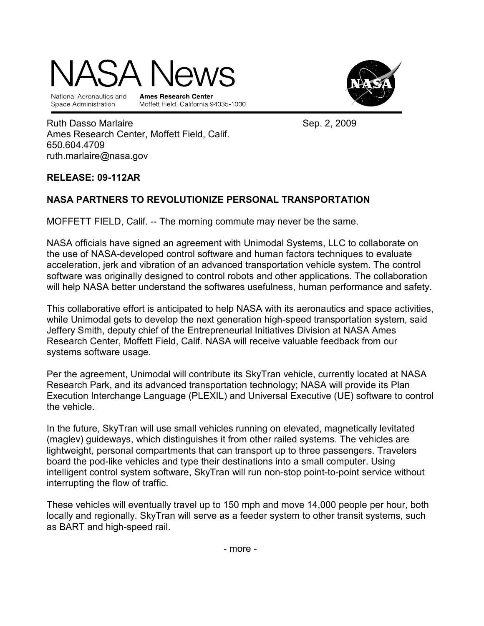# $\Delta$  .

National Aeronautics and Space Administration

**Ames Research Center** Moffett Field, California 94035-1000



Ruth Dasso Marlaire **New York 1988** Sep. 2, 2009 Ames Research Center, Moffett Field, Calif. 650.604.4709 ruth.marlaire@nasa.gov

### RELEASE: 09-112AR

## NASA PARTNERS TO REVOLUTIONIZE PERSONAL TRANSPORTATION

MOFFETT FIELD, Calif. -- The morning commute may never be the same.

NASA officials have signed an agreement with Unimodal Systems, LLC to collaborate on the use of NASA-developed control software and human factors techniques to evaluate acceleration, jerk and vibration of an advanced transportation vehicle system. The control software was originally designed to control robots and other applications. The collaboration will help NASA better understand the softwares usefulness, human performance and safety.

This collaborative effort is anticipated to help NASA with its aeronautics and space activities, while Unimodal gets to develop the next generation high-speed transportation system, said Jeffery Smith, deputy chief of the Entrepreneurial Initiatives Division at NASA Ames Research Center, Moffett Field, Calif. NASA will receive valuable feedback from our systems software usage.

Per the agreement, Unimodal will contribute its SkyTran vehicle, currently located at NASA Research Park, and its advanced transportation technology; NASA will provide its Plan Execution Interchange Language (PLEXIL) and Universal Executive (UE) software to control the vehicle.

In the future, SkyTran will use small vehicles running on elevated, magnetically levitated (maglev) guideways, which distinguishes it from other railed systems. The vehicles are lightweight, personal compartments that can transport up to three passengers. Travelers board the pod-like vehicles and type their destinations into a small computer. Using intelligent control system software, SkyTran will run non-stop point-to-point service without interrupting the flow of traffic.

These vehicles will eventually travel up to 150 mph and move 14,000 people per hour, both locally and regionally. SkyTran will serve as a feeder system to other transit systems, such as BART and high-speed rail.